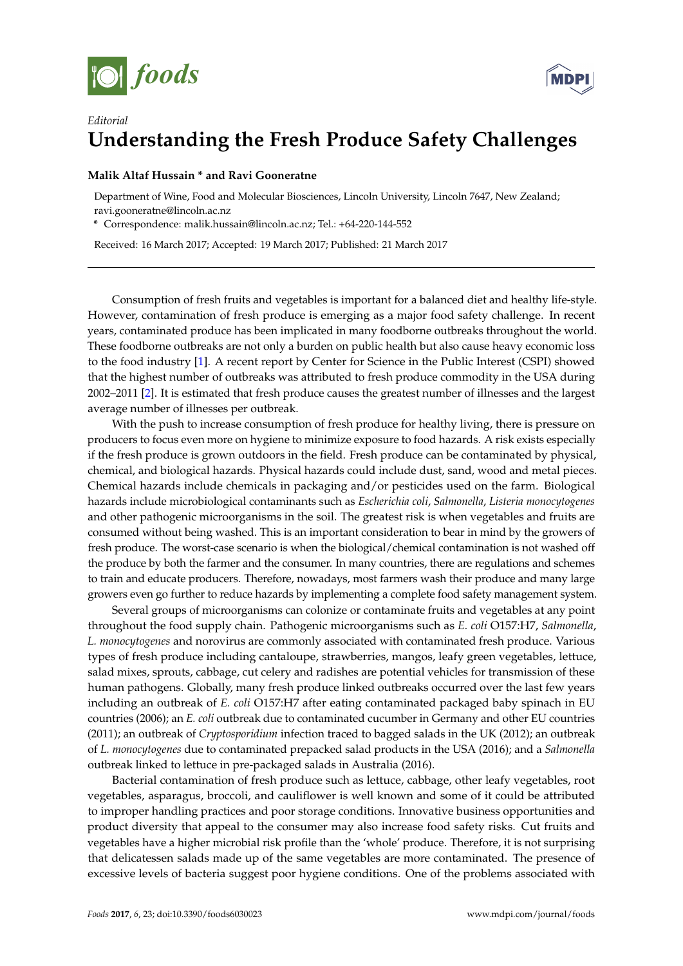



## *Editorial* **Understanding the Fresh Produce Safety Challenges**

## **Malik Altaf Hussain \* and Ravi Gooneratne**

Department of Wine, Food and Molecular Biosciences, Lincoln University, Lincoln 7647, New Zealand; ravi.gooneratne@lincoln.ac.nz

**\*** Correspondence: malik.hussain@lincoln.ac.nz; Tel.: +64-220-144-552

Received: 16 March 2017; Accepted: 19 March 2017; Published: 21 March 2017

Consumption of fresh fruits and vegetables is important for a balanced diet and healthy life-style. However, contamination of fresh produce is emerging as a major food safety challenge. In recent years, contaminated produce has been implicated in many foodborne outbreaks throughout the world. These foodborne outbreaks are not only a burden on public health but also cause heavy economic loss to the food industry [\[1\]](#page-1-0). A recent report by Center for Science in the Public Interest (CSPI) showed that the highest number of outbreaks was attributed to fresh produce commodity in the USA during 2002–2011 [\[2\]](#page-1-1). It is estimated that fresh produce causes the greatest number of illnesses and the largest average number of illnesses per outbreak.

With the push to increase consumption of fresh produce for healthy living, there is pressure on producers to focus even more on hygiene to minimize exposure to food hazards. A risk exists especially if the fresh produce is grown outdoors in the field. Fresh produce can be contaminated by physical, chemical, and biological hazards. Physical hazards could include dust, sand, wood and metal pieces. Chemical hazards include chemicals in packaging and/or pesticides used on the farm. Biological hazards include microbiological contaminants such as *Escherichia coli*, *Salmonella*, *Listeria monocytogenes* and other pathogenic microorganisms in the soil. The greatest risk is when vegetables and fruits are consumed without being washed. This is an important consideration to bear in mind by the growers of fresh produce. The worst-case scenario is when the biological/chemical contamination is not washed off the produce by both the farmer and the consumer. In many countries, there are regulations and schemes to train and educate producers. Therefore, nowadays, most farmers wash their produce and many large growers even go further to reduce hazards by implementing a complete food safety management system.

Several groups of microorganisms can colonize or contaminate fruits and vegetables at any point throughout the food supply chain. Pathogenic microorganisms such as *E. coli* O157:H7, *Salmonella*, *L. monocytogenes* and norovirus are commonly associated with contaminated fresh produce. Various types of fresh produce including cantaloupe, strawberries, mangos, leafy green vegetables, lettuce, salad mixes, sprouts, cabbage, cut celery and radishes are potential vehicles for transmission of these human pathogens. Globally, many fresh produce linked outbreaks occurred over the last few years including an outbreak of *E. coli* O157:H7 after eating contaminated packaged baby spinach in EU countries (2006); an *E. coli* outbreak due to contaminated cucumber in Germany and other EU countries (2011); an outbreak of *Cryptosporidium* infection traced to bagged salads in the UK (2012); an outbreak of *L. monocytogenes* due to contaminated prepacked salad products in the USA (2016); and a *Salmonella* outbreak linked to lettuce in pre-packaged salads in Australia (2016).

Bacterial contamination of fresh produce such as lettuce, cabbage, other leafy vegetables, root vegetables, asparagus, broccoli, and cauliflower is well known and some of it could be attributed to improper handling practices and poor storage conditions. Innovative business opportunities and product diversity that appeal to the consumer may also increase food safety risks. Cut fruits and vegetables have a higher microbial risk profile than the 'whole' produce. Therefore, it is not surprising that delicatessen salads made up of the same vegetables are more contaminated. The presence of excessive levels of bacteria suggest poor hygiene conditions. One of the problems associated with